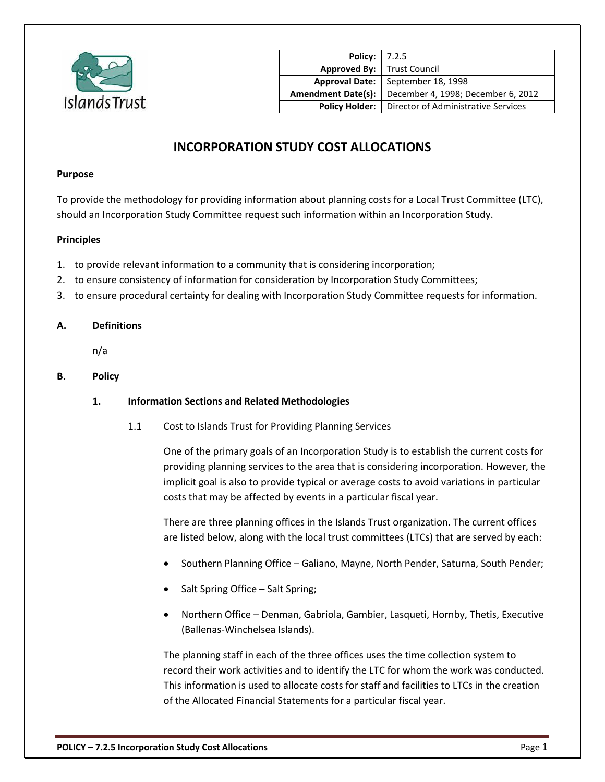

| <b>Policy: 7.2.5</b>      |                                     |
|---------------------------|-------------------------------------|
| Approved By:              | <b>Trust Council</b>                |
| <b>Approval Date:</b>     | September 18, 1998                  |
| <b>Amendment Date(s):</b> | December 4, 1998; December 6, 2012  |
| <b>Policy Holder:</b>     | Director of Administrative Services |

# **INCORPORATION STUDY COST ALLOCATIONS**

#### **Purpose**

To provide the methodology for providing information about planning costs for a Local Trust Committee (LTC), should an Incorporation Study Committee request such information within an Incorporation Study.

## **Principles**

- 1. to provide relevant information to a community that is considering incorporation;
- 2. to ensure consistency of information for consideration by Incorporation Study Committees;
- 3. to ensure procedural certainty for dealing with Incorporation Study Committee requests for information.

#### **A. Definitions**

n/a

**B. Policy**

## **1. Information Sections and Related Methodologies**

1.1 Cost to Islands Trust for Providing Planning Services

One of the primary goals of an Incorporation Study is to establish the current costs for providing planning services to the area that is considering incorporation. However, the implicit goal is also to provide typical or average costs to avoid variations in particular costs that may be affected by events in a particular fiscal year.

There are three planning offices in the Islands Trust organization. The current offices are listed below, along with the local trust committees (LTCs) that are served by each:

- Southern Planning Office Galiano, Mayne, North Pender, Saturna, South Pender;
- Salt Spring Office Salt Spring;
- Northern Office Denman, Gabriola, Gambier, Lasqueti, Hornby, Thetis, Executive (Ballenas-Winchelsea Islands).

The planning staff in each of the three offices uses the time collection system to record their work activities and to identify the LTC for whom the work was conducted. This information is used to allocate costs for staff and facilities to LTCs in the creation of the Allocated Financial Statements for a particular fiscal year.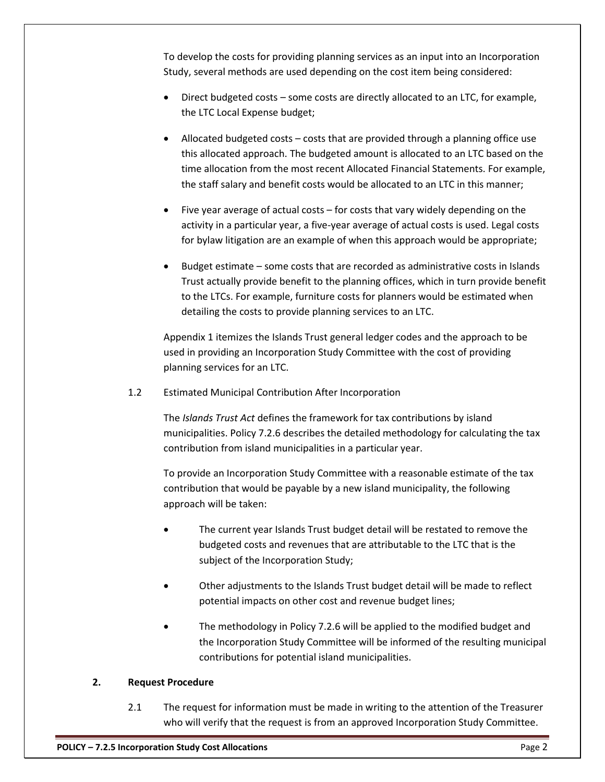To develop the costs for providing planning services as an input into an Incorporation Study, several methods are used depending on the cost item being considered:

- Direct budgeted costs some costs are directly allocated to an LTC, for example, the LTC Local Expense budget;
- Allocated budgeted costs costs that are provided through a planning office use this allocated approach. The budgeted amount is allocated to an LTC based on the time allocation from the most recent Allocated Financial Statements. For example, the staff salary and benefit costs would be allocated to an LTC in this manner;
- Five year average of actual costs for costs that vary widely depending on the activity in a particular year, a five-year average of actual costs is used. Legal costs for bylaw litigation are an example of when this approach would be appropriate;
- Budget estimate some costs that are recorded as administrative costs in Islands Trust actually provide benefit to the planning offices, which in turn provide benefit to the LTCs. For example, furniture costs for planners would be estimated when detailing the costs to provide planning services to an LTC.

Appendix 1 itemizes the Islands Trust general ledger codes and the approach to be used in providing an Incorporation Study Committee with the cost of providing planning services for an LTC.

1.2 Estimated Municipal Contribution After Incorporation

The *Islands Trust Act* defines the framework for tax contributions by island municipalities. Policy 7.2.6 describes the detailed methodology for calculating the tax contribution from island municipalities in a particular year.

To provide an Incorporation Study Committee with a reasonable estimate of the tax contribution that would be payable by a new island municipality, the following approach will be taken:

- The current year Islands Trust budget detail will be restated to remove the budgeted costs and revenues that are attributable to the LTC that is the subject of the Incorporation Study;
- Other adjustments to the Islands Trust budget detail will be made to reflect potential impacts on other cost and revenue budget lines;
- The methodology in Policy 7.2.6 will be applied to the modified budget and the Incorporation Study Committee will be informed of the resulting municipal contributions for potential island municipalities.

# **2. Request Procedure**

2.1 The request for information must be made in writing to the attention of the Treasurer who will verify that the request is from an approved Incorporation Study Committee.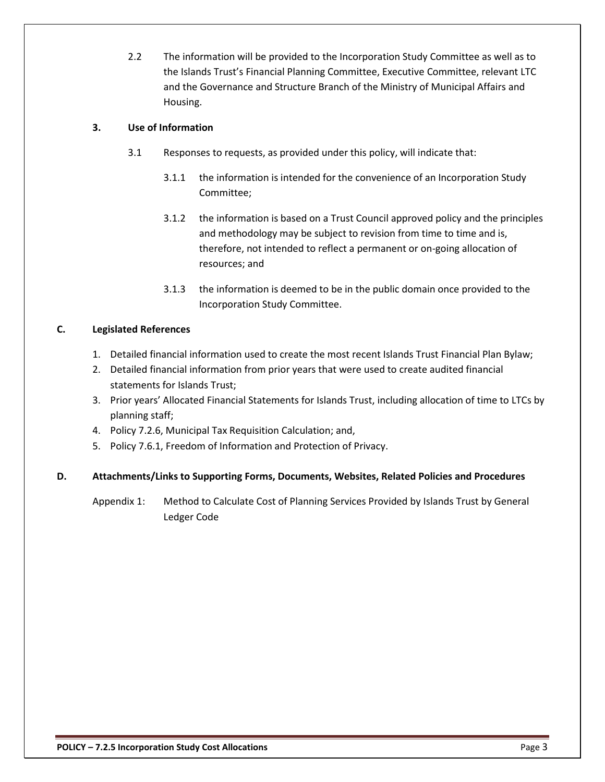2.2 The information will be provided to the Incorporation Study Committee as well as to the Islands Trust's Financial Planning Committee, Executive Committee, relevant LTC and the Governance and Structure Branch of the Ministry of Municipal Affairs and Housing.

# **3. Use of Information**

- 3.1 Responses to requests, as provided under this policy, will indicate that:
	- 3.1.1 the information is intended for the convenience of an Incorporation Study Committee;
	- 3.1.2 the information is based on a Trust Council approved policy and the principles and methodology may be subject to revision from time to time and is, therefore, not intended to reflect a permanent or on-going allocation of resources; and
	- 3.1.3 the information is deemed to be in the public domain once provided to the Incorporation Study Committee.

## **C. Legislated References**

- 1. Detailed financial information used to create the most recent Islands Trust Financial Plan Bylaw;
- 2. Detailed financial information from prior years that were used to create audited financial statements for Islands Trust;
- 3. Prior years' Allocated Financial Statements for Islands Trust, including allocation of time to LTCs by planning staff;
- 4. Policy 7.2.6, Municipal Tax Requisition Calculation; and,
- 5. Policy 7.6.1, Freedom of Information and Protection of Privacy.

## **D. Attachments/Links to Supporting Forms, Documents, Websites, Related Policies and Procedures**

Appendix 1: Method to Calculate Cost of Planning Services Provided by Islands Trust by General Ledger Code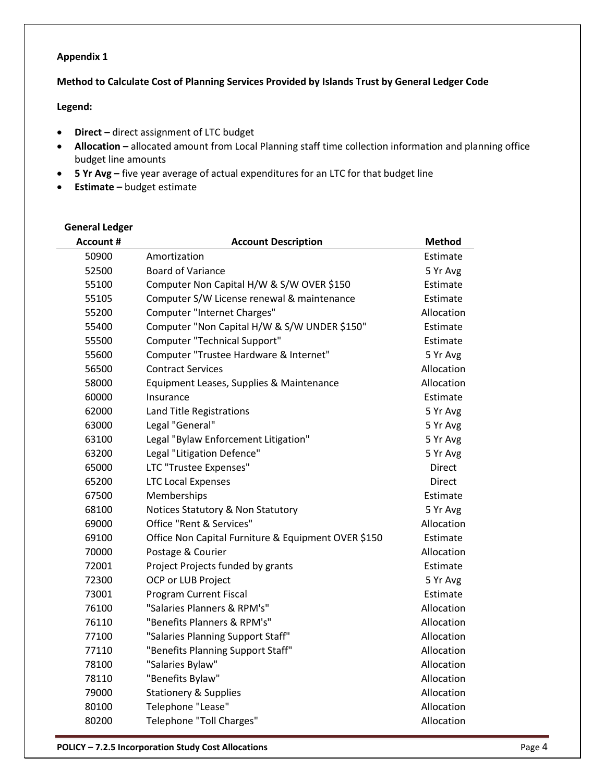## **Appendix 1**

## **Method to Calculate Cost of Planning Services Provided by Islands Trust by General Ledger Code**

#### **Legend:**

- **Direct –** direct assignment of LTC budget
- **Allocation –** allocated amount from Local Planning staff time collection information and planning office budget line amounts
- **5 Yr Avg** five year average of actual expenditures for an LTC for that budget line
- **Estimate –** budget estimate

# **General Ledger**

| <b>Account #</b> | <b>Account Description</b>                          | <b>Method</b> |
|------------------|-----------------------------------------------------|---------------|
| 50900            | Amortization                                        | Estimate      |
| 52500            | <b>Board of Variance</b>                            | 5 Yr Avg      |
| 55100            | Computer Non Capital H/W & S/W OVER \$150           | Estimate      |
| 55105            | Computer S/W License renewal & maintenance          | Estimate      |
| 55200            | <b>Computer "Internet Charges"</b>                  | Allocation    |
| 55400            | Computer "Non Capital H/W & S/W UNDER \$150"        | Estimate      |
| 55500            | Computer "Technical Support"                        | Estimate      |
| 55600            | Computer "Trustee Hardware & Internet"              | 5 Yr Avg      |
| 56500            | <b>Contract Services</b>                            | Allocation    |
| 58000            | Equipment Leases, Supplies & Maintenance            | Allocation    |
| 60000            | Insurance                                           | Estimate      |
| 62000            | Land Title Registrations                            | 5 Yr Avg      |
| 63000            | Legal "General"                                     | 5 Yr Avg      |
| 63100            | Legal "Bylaw Enforcement Litigation"                | 5 Yr Avg      |
| 63200            | Legal "Litigation Defence"                          | 5 Yr Avg      |
| 65000            | LTC "Trustee Expenses"                              | <b>Direct</b> |
| 65200            | <b>LTC Local Expenses</b>                           | <b>Direct</b> |
| 67500            | Memberships                                         | Estimate      |
| 68100            | Notices Statutory & Non Statutory                   | 5 Yr Avg      |
| 69000            | Office "Rent & Services"                            | Allocation    |
| 69100            | Office Non Capital Furniture & Equipment OVER \$150 | Estimate      |
| 70000            | Postage & Courier                                   | Allocation    |
| 72001            | Project Projects funded by grants                   | Estimate      |
| 72300            | OCP or LUB Project                                  | 5 Yr Avg      |
| 73001            | Program Current Fiscal                              | Estimate      |
| 76100            | "Salaries Planners & RPM's"                         | Allocation    |
| 76110            | "Benefits Planners & RPM's"                         | Allocation    |
| 77100            | "Salaries Planning Support Staff"                   | Allocation    |
| 77110            | "Benefits Planning Support Staff"                   | Allocation    |
| 78100            | "Salaries Bylaw"                                    | Allocation    |
| 78110            | "Benefits Bylaw"                                    | Allocation    |
| 79000            | <b>Stationery &amp; Supplies</b>                    | Allocation    |
| 80100            | Telephone "Lease"                                   | Allocation    |
| 80200            | Telephone "Toll Charges"                            | Allocation    |